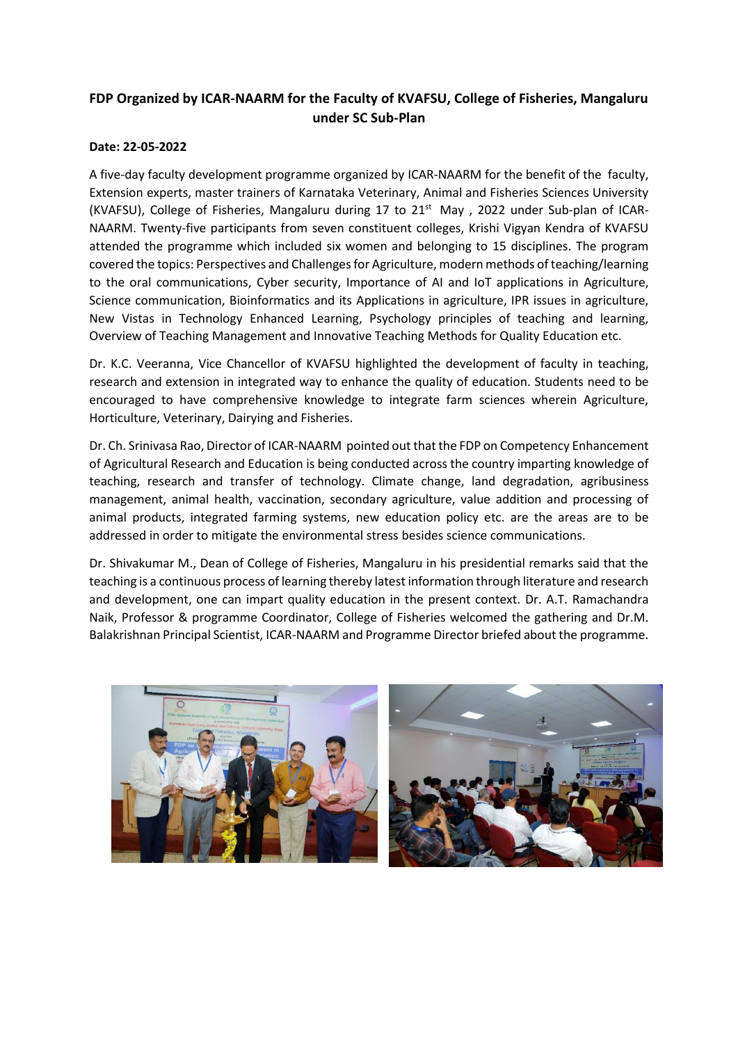## **FDP Organized by ICAR-NAARM for the Faculty of KVAFSU, College of Fisheries, Mangaluru under SC Sub-Plan**

## **Date: 22-05-2022**

A five-day faculty development programme organized by ICAR-NAARM for the benefit of the faculty, Extension experts, master trainers of Karnataka Veterinary, Animal and Fisheries Sciences University (KVAFSU), College of Fisheries, Mangaluru during 17 to 21<sup>st</sup> May, 2022 under Sub-plan of ICAR-NAARM. Twenty-five participants from seven constituent colleges, Krishi Vigyan Kendra of KVAFSU attended the programme which included six women and belonging to 15 disciplines. The program covered the topics: Perspectives and Challenges for Agriculture, modern methods of teaching/learning to the oral communications, Cyber security, Importance of AI and IoT applications in Agriculture, Science communication, Bioinformatics and its Applications in agriculture, IPR issues in agriculture, New Vistas in Technology Enhanced Learning, Psychology principles of teaching and learning, Overview of Teaching Management and Innovative Teaching Methods for Quality Education etc.

Dr. K.C. Veeranna, Vice Chancellor of KVAFSU highlighted the development of faculty in teaching, research and extension in integrated way to enhance the quality of education. Students need to be encouraged to have comprehensive knowledge to integrate farm sciences wherein Agriculture, Horticulture, Veterinary, Dairying and Fisheries.

Dr. Ch. Srinivasa Rao, Director of ICAR-NAARM pointed out that the FDP on Competency Enhancement of Agricultural Research and Education is being conducted across the country imparting knowledge of teaching, research and transfer of technology. Climate change, land degradation, agribusiness management, animal health, vaccination, secondary agriculture, value addition and processing of animal products, integrated farming systems, new education policy etc. are the areas are to be addressed in order to mitigate the environmental stress besides science communications.

Dr. Shivakumar M., Dean of College of Fisheries, Mangaluru in his presidential remarks said that the teaching is a continuous process of learning thereby latest information through literature and research and development, one can impart quality education in the present context. Dr. A.T. Ramachandra Naik, Professor & programme Coordinator, College of Fisheries welcomed the gathering and Dr.M. Balakrishnan Principal Scientist, ICAR-NAARM and Programme Director briefed about the programme.